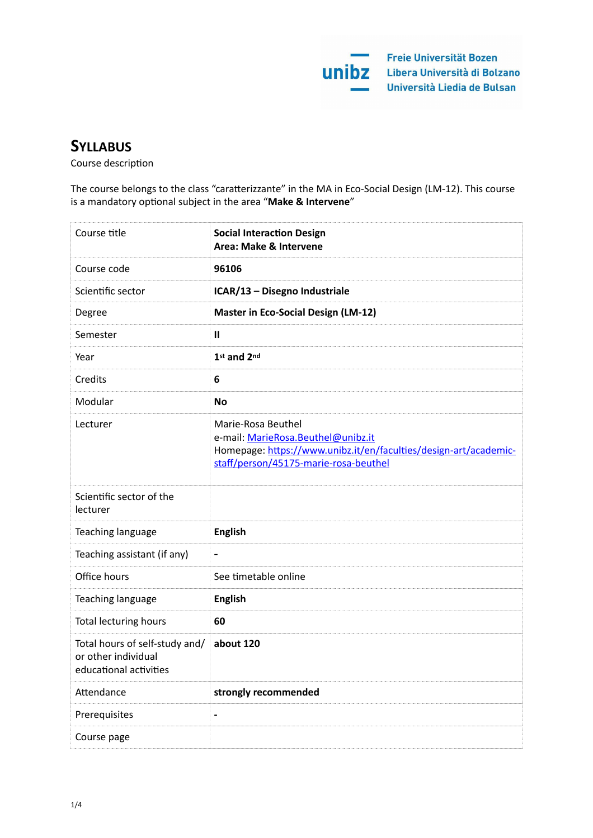

# **SYLLABUS**

Course description

The course belongs to the class "caratterizzante" in the MA in Eco-Social Design (LM-12). This course is a mandatory optional subject in the area "Make & Intervene"

| Course title                                                                    | <b>Social Interaction Design</b><br>Area: Make & Intervene                                                                                                            |
|---------------------------------------------------------------------------------|-----------------------------------------------------------------------------------------------------------------------------------------------------------------------|
| Course code                                                                     | 96106                                                                                                                                                                 |
| Scientific sector                                                               | ICAR/13 - Disegno Industriale                                                                                                                                         |
| Degree                                                                          | <b>Master in Eco-Social Design (LM-12)</b>                                                                                                                            |
| Semester                                                                        | $\mathbf{I}$                                                                                                                                                          |
| Year                                                                            | 1st and 2nd                                                                                                                                                           |
| Credits                                                                         | 6                                                                                                                                                                     |
| Modular                                                                         | <b>No</b>                                                                                                                                                             |
| Lecturer                                                                        | Marie-Rosa Beuthel<br>e-mail: MarieRosa.Beuthel@unibz.it<br>Homepage: https://www.unibz.it/en/faculties/design-art/academic-<br>staff/person/45175-marie-rosa-beuthel |
| Scientific sector of the<br>lecturer                                            |                                                                                                                                                                       |
| Teaching language                                                               | <b>English</b>                                                                                                                                                        |
| Teaching assistant (if any)                                                     | $\qquad \qquad \blacksquare$                                                                                                                                          |
| Office hours                                                                    | See timetable online                                                                                                                                                  |
| Teaching language                                                               | <b>English</b>                                                                                                                                                        |
| <b>Total lecturing hours</b>                                                    | 60                                                                                                                                                                    |
| Total hours of self-study and/<br>or other individual<br>educational activities | about 120                                                                                                                                                             |
| Attendance                                                                      | strongly recommended                                                                                                                                                  |
| Prerequisites                                                                   | $\overline{\phantom{0}}$                                                                                                                                              |
| Course page                                                                     |                                                                                                                                                                       |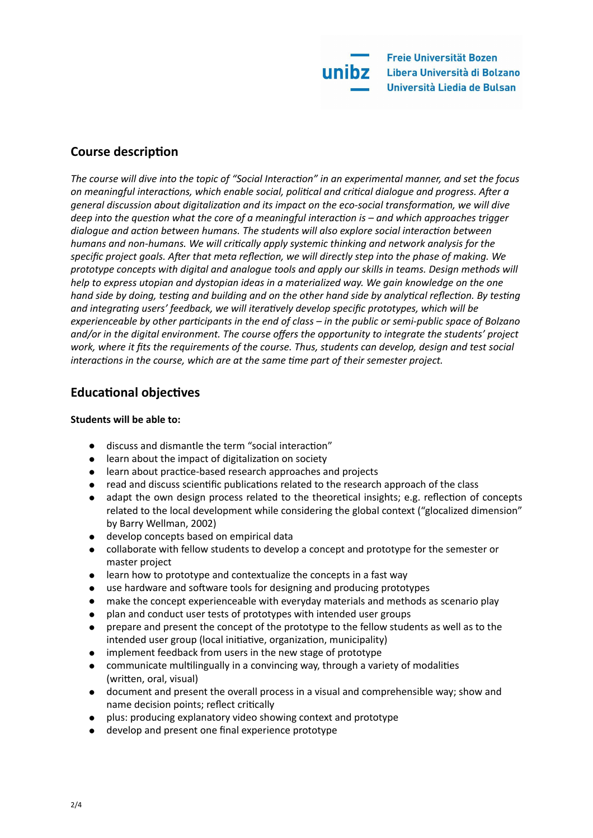

## **Course description**

The course will dive into the topic of "Social Interaction" in an experimental manner, and set the focus on meaningful interactions, which enable social, political and critical dialogue and progress. After a *general discussion about digitalization and its impact on the eco-social transformation, we will dive deep* into the question what the core of a meaningful interaction is – and which approaches trigger *dialogue* and action between humans. The students will also explore social interaction between *humans* and non-humans. We will critically apply systemic thinking and network analysis for the specific project goals. After that meta reflection, we will directly step into the phase of making. We prototype concepts with digital and analogue tools and apply our skills in teams. Design methods will *help* to express utopian and dystopian ideas in a materialized way. We gain knowledge on the one *hand side by doing, testing and building and on the other hand side by analytical reflection. By testing* and integrating users' feedback, we will iteratively develop specific prototypes, which will be experienceable by other participants in the end of class – in the public or semi-public space of Bolzano and/or in the digital environment. The course offers the opportunity to integrate the students' project work, where it fits the requirements of the course. Thus, students can develop, design and test social *interactions in the course, which are at the same time part of their semester project.* 

## **Educational objectives**

## **Students will be able to:**

- discuss and dismantle the term "social interaction"
- $\bullet$  learn about the impact of digitalization on society
- learn about practice-based research approaches and projects
- read and discuss scientific publications related to the research approach of the class
- adapt the own design process related to the theoretical insights; e.g. reflection of concepts related to the local development while considering the global context ("glocalized dimension" by Barry Wellman, 2002)
- develop concepts based on empirical data
- collaborate with fellow students to develop a concept and prototype for the semester or master project
- $\bullet$  learn how to prototype and contextualize the concepts in a fast way
- use hardware and software tools for designing and producing prototypes
- $\bullet$  make the concept experienceable with everyday materials and methods as scenario play
- plan and conduct user tests of prototypes with intended user groups
- prepare and present the concept of the prototype to the fellow students as well as to the intended user group (local initiative, organization, municipality)
- implement feedback from users in the new stage of prototype
- communicate multilingually in a convincing way, through a variety of modalities (written, oral, visual)
- document and present the overall process in a visual and comprehensible way; show and name decision points; reflect critically
- plus: producing explanatory video showing context and prototype
- develop and present one final experience prototype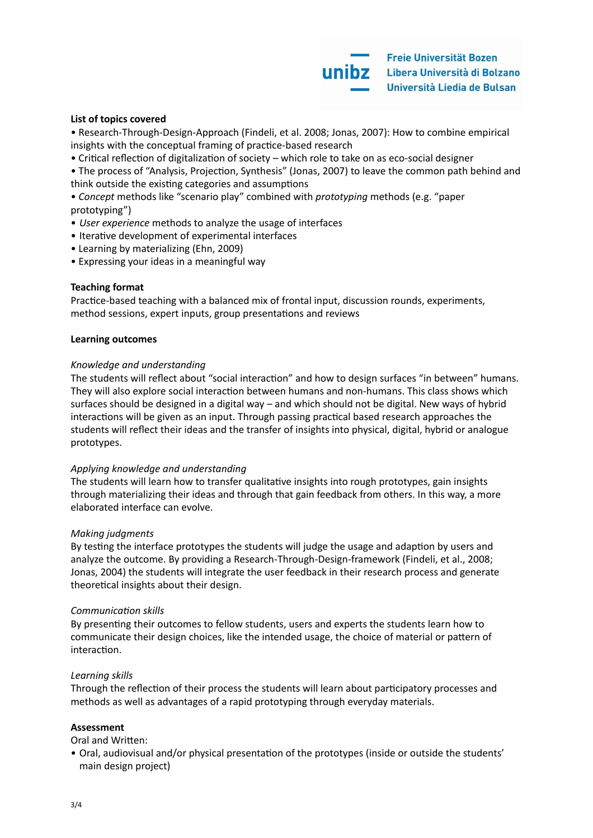#### List of topics covered

• Research-Through-Design-Approach (Findeli, et al. 2008; Jonas, 2007): How to combine empirical insights with the conceptual framing of practice-based research

• Critical reflection of digitalization of society – which role to take on as eco-social designer

• The process of "Analysis, Projection, Synthesis" (Jonas, 2007) to leave the common path behind and think outside the existing categories and assumptions

• Concept methods like "scenario play" combined with *prototyping* methods (e.g. "paper prototyping") 

- *User experience* methods to analyze the usage of interfaces
- Iterative development of experimental interfaces
- Learning by materializing (Ehn, 2009)
- Expressing your ideas in a meaningful way

#### **Teaching format**

Practice-based teaching with a balanced mix of frontal input, discussion rounds, experiments, method sessions, expert inputs, group presentations and reviews

#### **Learning outcomes**

#### *Knowledge and understanding*

The students will reflect about "social interaction" and how to design surfaces "in between" humans. They will also explore social interaction between humans and non-humans. This class shows which surfaces should be designed in a digital way – and which should not be digital. New ways of hybrid interactions will be given as an input. Through passing practical based research approaches the students will reflect their ideas and the transfer of insights into physical, digital, hybrid or analogue prototypes. 

#### Applying knowledge and understanding

The students will learn how to transfer qualitative insights into rough prototypes, gain insights through materializing their ideas and through that gain feedback from others. In this way, a more elaborated interface can evolve.

#### *Makina iudaments*

By testing the interface prototypes the students will judge the usage and adaption by users and analyze the outcome. By providing a Research-Through-Design-framework (Findeli, et al., 2008; Jonas, 2004) the students will integrate the user feedback in their research process and generate theoretical insights about their design.

#### *Communication skills*

By presenting their outcomes to fellow students, users and experts the students learn how to communicate their design choices, like the intended usage, the choice of material or pattern of interaction.

#### Learning skills

Through the reflection of their process the students will learn about participatory processes and methods as well as advantages of a rapid prototyping through everyday materials.

#### **Assessment**

Oral and Written:

• Oral, audiovisual and/or physical presentation of the prototypes (inside or outside the students' main design project)